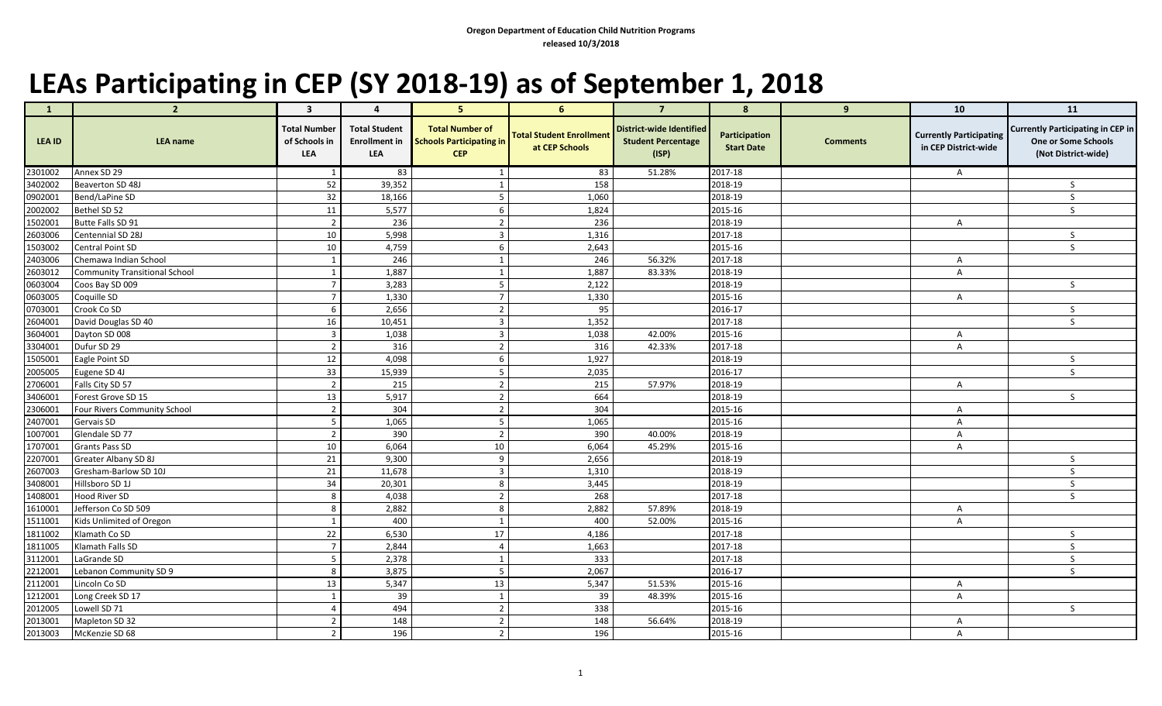## **LEAs Participating in CEP (SY 2018-19) as of September 1, 2018**

| $\mathbf{1}$ | $\overline{2}$                       | 3                                           | $\overline{4}$                                             | 5 <sup>5</sup>                                                          | 6 <sup>1</sup>                                    | $\overline{7}$                                                 | 8                                  | 9               | 10                                                     | 11                                                                                     |
|--------------|--------------------------------------|---------------------------------------------|------------------------------------------------------------|-------------------------------------------------------------------------|---------------------------------------------------|----------------------------------------------------------------|------------------------------------|-----------------|--------------------------------------------------------|----------------------------------------------------------------------------------------|
| LEA ID       | <b>LEA</b> name                      | <b>Total Number</b><br>of Schools in<br>LEA | <b>Total Student</b><br><b>Enrollment in</b><br><b>LEA</b> | <b>Total Number of</b><br><b>Schools Participating in</b><br><b>CEP</b> | <b>Total Student Enrollment</b><br>at CEP Schools | District-wide Identified<br><b>Student Percentage</b><br>(ISP) | Participation<br><b>Start Date</b> | <b>Comments</b> | <b>Currently Participating</b><br>in CEP District-wide | <b>Currently Participating in CEP in</b><br>One or Some Schools<br>(Not District-wide) |
| 2301002      | Annex SD 29                          | 1                                           | 83                                                         | 1                                                                       | 83                                                | 51.28%                                                         | 2017-18                            |                 | $\mathsf{A}$                                           |                                                                                        |
| 3402002      | Beaverton SD 48J                     | 52                                          | 39,352                                                     | 1                                                                       | 158                                               |                                                                | 2018-19                            |                 |                                                        | <sub>S</sub>                                                                           |
| 0902001      | Bend/LaPine SD                       | 32                                          | 18,166                                                     | 5 <sub>5</sub>                                                          | 1,060                                             |                                                                | 2018-19                            |                 |                                                        | S                                                                                      |
| 2002002      | Bethel SD 52                         | 11                                          | 5,577                                                      | 6                                                                       | 1,824                                             |                                                                | 2015-16                            |                 |                                                        | S                                                                                      |
| 1502001      | Butte Falls SD 91                    | $\overline{2}$                              | 236                                                        | $\overline{2}$                                                          | 236                                               |                                                                | 2018-19                            |                 | $\mathsf{A}$                                           |                                                                                        |
| 2603006      | Centennial SD 28J                    | 10                                          | 5,998                                                      | $\overline{3}$                                                          | 1,316                                             |                                                                | 2017-18                            |                 |                                                        | S                                                                                      |
| 1503002      | Central Point SD                     | 10                                          | 4,759                                                      | 6                                                                       | 2,643                                             |                                                                | 2015-16                            |                 |                                                        | S                                                                                      |
| 2403006      | Chemawa Indian School                | $\mathbf{1}$                                | 246                                                        | $\mathbf{1}$                                                            | 246                                               | 56.32%                                                         | 2017-18                            |                 | A                                                      |                                                                                        |
| 2603012      | <b>Community Transitional School</b> | 1                                           | 1,887                                                      | 1                                                                       | 1,887                                             | 83.33%                                                         | 2018-19                            |                 | $\mathsf{A}$                                           |                                                                                        |
| 0603004      | Coos Bay SD 009                      | $\overline{7}$                              | 3,283                                                      | 5                                                                       | 2,122                                             |                                                                | 2018-19                            |                 |                                                        | S                                                                                      |
| 0603005      | Coquille SD                          | $\overline{7}$                              | 1,330                                                      | $\overline{7}$                                                          | 1,330                                             |                                                                | 2015-16                            |                 | A                                                      |                                                                                        |
| 0703001      | Crook Co SD                          | 6                                           | 2,656                                                      | $\overline{2}$                                                          | 95                                                |                                                                | 2016-17                            |                 |                                                        | $\mathsf{S}$                                                                           |
| 2604001      | David Douglas SD 40                  | 16                                          | 10,451                                                     | $\mathbf{3}$                                                            | 1,352                                             |                                                                | 2017-18                            |                 |                                                        | <sub>S</sub>                                                                           |
| 3604001      | Dayton SD 008                        | $\overline{\mathbf{3}}$                     | 1,038                                                      | $\overline{3}$                                                          | 1,038                                             | 42.00%                                                         | 2015-16                            |                 | A                                                      |                                                                                        |
| 3304001      | Dufur SD 29                          | $\overline{2}$                              | 316                                                        | $\overline{2}$                                                          | 316                                               | 42.33%                                                         | 2017-18                            |                 | $\overline{A}$                                         |                                                                                        |
| 1505001      | Eagle Point SD                       | 12                                          | 4,098                                                      | 6                                                                       | 1,927                                             |                                                                | 2018-19                            |                 |                                                        | S                                                                                      |
| 2005005      | Eugene SD 4J                         | 33                                          | 15,939                                                     | 5                                                                       | 2,035                                             |                                                                | 2016-17                            |                 |                                                        | <sub>S</sub>                                                                           |
| 2706001      | Falls City SD 57                     | $\overline{2}$                              | 215                                                        | $\overline{2}$                                                          | 215                                               | 57.97%                                                         | 2018-19                            |                 | $\mathsf{A}$                                           |                                                                                        |
| 3406001      | Forest Grove SD 15                   | 13                                          | 5,917                                                      | $\overline{2}$                                                          | 664                                               |                                                                | 2018-19                            |                 |                                                        | <sub>S</sub>                                                                           |
| 2306001      | Four Rivers Community School         | $\overline{2}$                              | 304                                                        | $\overline{2}$                                                          | 304                                               |                                                                | 2015-16                            |                 | A                                                      |                                                                                        |
| 2407001      | Gervais SD                           | 5                                           | 1,065                                                      | 5                                                                       | 1,065                                             |                                                                | 2015-16                            |                 | A                                                      |                                                                                        |
| 1007001      | Glendale SD 77                       | $\overline{2}$                              | 390                                                        | $\overline{2}$                                                          | 390                                               | 40.00%                                                         | 2018-19                            |                 | A                                                      |                                                                                        |
| 1707001      | <b>Grants Pass SD</b>                | 10                                          | 6,064                                                      | 10                                                                      | 6,064                                             | 45.29%                                                         | 2015-16                            |                 | $\mathsf{A}$                                           |                                                                                        |
| 2207001      | Greater Albany SD 8J                 | 21                                          | 9,300                                                      | 9                                                                       | 2,656                                             |                                                                | 2018-19                            |                 |                                                        | <sub>S</sub>                                                                           |
| 2607003      | Gresham-Barlow SD 10J                | 21                                          | 11,678                                                     | $\overline{3}$                                                          | 1,310                                             |                                                                | 2018-19                            |                 |                                                        | <sub>S</sub>                                                                           |
| 3408001      | Hillsboro SD 1J                      | 34                                          | 20,301                                                     | 8                                                                       | 3,445                                             |                                                                | 2018-19                            |                 |                                                        | S                                                                                      |
| 1408001      | Hood River SD                        | 8                                           | 4,038                                                      | $\overline{2}$                                                          | 268                                               |                                                                | 2017-18                            |                 |                                                        | $\mathsf{S}$                                                                           |
| 1610001      | Jefferson Co SD 509                  | 8                                           | 2,882                                                      | 8                                                                       | 2,882                                             | 57.89%                                                         | 2018-19                            |                 | $\mathsf{A}$                                           |                                                                                        |
| 1511001      | Kids Unlimited of Oregon             | $\mathbf{1}$                                | 400                                                        | $\mathbf{1}$                                                            | 400                                               | 52.00%                                                         | 2015-16                            |                 | A                                                      |                                                                                        |
| 1811002      | Klamath Co SD                        | 22                                          | 6,530                                                      | 17                                                                      | 4,186                                             |                                                                | 2017-18                            |                 |                                                        | S                                                                                      |
| 1811005      | Klamath Falls SD                     | $\overline{7}$                              | 2,844                                                      | $\overline{4}$                                                          | 1,663                                             |                                                                | 2017-18                            |                 |                                                        | <sub>S</sub>                                                                           |
| 3112001      | LaGrande SD                          | $5\phantom{.0}$                             | 2,378                                                      | 1                                                                       | 333                                               |                                                                | 2017-18                            |                 |                                                        | S                                                                                      |
| 2212001      | Lebanon Community SD 9               | 8                                           | 3,875                                                      | 5                                                                       | 2,067                                             |                                                                | 2016-17                            |                 |                                                        | <sub>S</sub>                                                                           |
| 2112001      | Lincoln Co SD                        | 13                                          | 5,347                                                      | 13                                                                      | 5,347                                             | 51.53%                                                         | 2015-16                            |                 | $\mathsf{A}$                                           |                                                                                        |
| 1212001      | Long Creek SD 17                     | 1                                           | 39                                                         | 1                                                                       | 39                                                | 48.39%                                                         | 2015-16                            |                 | A                                                      |                                                                                        |
| 2012005      | Lowell SD 71                         | $\overline{4}$                              | 494                                                        | $\overline{2}$                                                          | 338                                               |                                                                | 2015-16                            |                 |                                                        | S                                                                                      |
| 2013001      | Mapleton SD 32                       | $\overline{2}$                              | 148                                                        | $\overline{2}$                                                          | 148                                               | 56.64%                                                         | 2018-19                            |                 | A                                                      |                                                                                        |
| 2013003      | McKenzie SD 68                       | $\overline{2}$                              | 196                                                        | $\overline{2}$                                                          | 196                                               |                                                                | 2015-16                            |                 | $\mathsf{A}$                                           |                                                                                        |